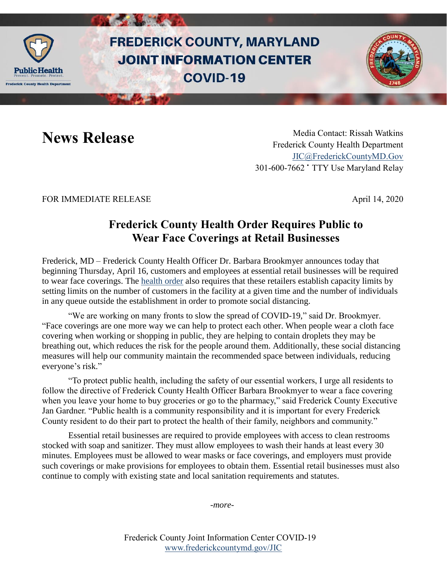

# **FREDERICK COUNTY, MARYLAND JOINT INFORMATION CENTER COVID-19**

News Release Media Contact: Rissah Watkins Frederick County Health Department [JIC@FrederickCountyMD.Gov](mailto:JIC@FrederickCountyMD.Gov) 301-600-7662 • TTY Use Maryland Relay

## FOR IMMEDIATE RELEASE April 14, 2020

## **Frederick County Health Order Requires Public to Wear Face Coverings at Retail Businesses**

Frederick, MD – Frederick County Health Officer Dr. Barbara Brookmyer announces today that beginning Thursday, April 16, customers and employees at essential retail businesses will be required to wear face coverings. The [health order](https://health.frederickcountymd.gov/DocumentCenter/View/5851/Directive-and-Order-Concerning-Face-Coverings-04-16-20) also requires that these retailers establish capacity limits by setting limits on the number of customers in the facility at a given time and the number of individuals in any queue outside the establishment in order to promote social distancing.

"We are working on many fronts to slow the spread of COVID-19," said Dr. Brookmyer. "Face coverings are one more way we can help to protect each other. When people wear a cloth face covering when working or shopping in public, they are helping to contain droplets they may be breathing out, which reduces the risk for the people around them. Additionally, these social distancing measures will help our community maintain the recommended space between individuals, reducing everyone's risk."

"To protect public health, including the safety of our essential workers, I urge all residents to follow the directive of Frederick County Health Officer Barbara Brookmyer to wear a face covering when you leave your home to buy groceries or go to the pharmacy," said Frederick County Executive Jan Gardner. "Public health is a community responsibility and it is important for every Frederick County resident to do their part to protect the health of their family, neighbors and community."

Essential retail businesses are required to provide employees with access to clean restrooms stocked with soap and sanitizer. They must allow employees to wash their hands at least every 30 minutes. Employees must be allowed to wear masks or face coverings, and employers must provide such coverings or make provisions for employees to obtain them. Essential retail businesses must also continue to comply with existing state and local sanitation requirements and statutes.

*-more-*